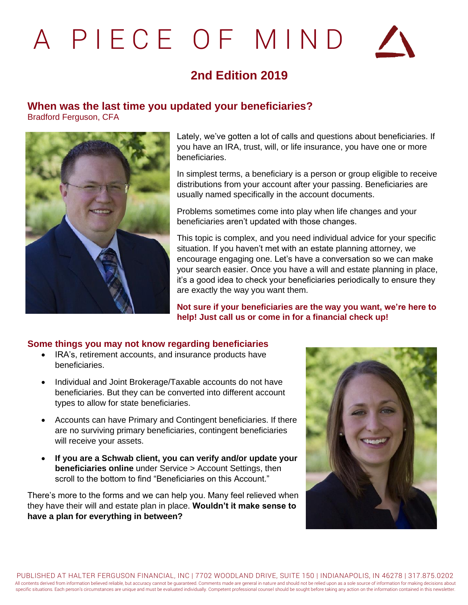# A P I E C E O F M I N D



# **2nd Edition 2019**

## **When was the last time you updated your beneficiaries?**

Bradford Ferguson, CFA



Lately, we've gotten a lot of calls and questions about beneficiaries. If you have an IRA, trust, will, or life insurance, you have one or more beneficiaries.

In simplest terms, a beneficiary is a person or group eligible to receive distributions from your account after your passing. Beneficiaries are usually named specifically in the account documents.

Problems sometimes come into play when life changes and your beneficiaries aren't updated with those changes.

This topic is complex, and you need individual advice for your specific situation. If you haven't met with an estate planning attorney, we encourage engaging one. Let's have a conversation so we can make your search easier. Once you have a will and estate planning in place, it's a good idea to check your beneficiaries periodically to ensure they are exactly the way you want them.

**Not sure if your beneficiaries are the way you want, we're here to help! Just call us or come in for a financial check up!**

#### **Some things you may not know regarding beneficiaries**

- IRA's, retirement accounts, and insurance products have beneficiaries.
- Individual and Joint Brokerage/Taxable accounts do not have beneficiaries. But they can be converted into different account types to allow for state beneficiaries.
- Accounts can have Primary and Contingent beneficiaries. If there are no surviving primary beneficiaries, contingent beneficiaries will receive your assets.
- **If you are a Schwab client, you can verify and/or update your beneficiaries online** under Service > Account Settings, then scroll to the bottom to find "Beneficiaries on this Account."

There's more to the forms and we can help you. Many feel relieved when they have their will and estate plan in place. **Wouldn't it make sense to have a plan for everything in between?**